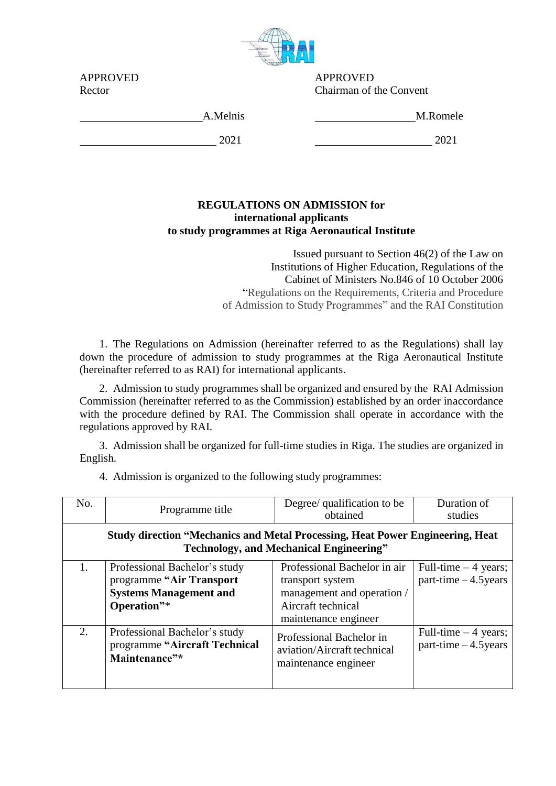

APPROVED APPROVED Chairman of the Convent

| APPROVED |  |
|----------|--|
| Rector   |  |

A.Melnis M.Romele

2021 2021

## **REGULATIONS ON ADMISSION for international applicants to study programmes at Riga Aeronautical Institute**

Issued pursuant to Section 46(2) of the Law on Institutions of Higher Education, Regulations of the Cabinet of Ministers No.846 of 10 October 2006 "Regulations on the Requirements, Criteria and Procedure of Admission to Study Programmes" and the RAI Constitution

1. The Regulations on Admission (hereinafter referred to as the Regulations) shall lay down the procedure of admission to study programmes at the Riga Aeronautical Institute (hereinafter referred to as RAI) for international applicants.

2. Admission to study programmes shall be organized and ensured by the RAI Admission Commission (hereinafter referred to as the Commission) established by an order inaccordance with the procedure defined by RAI. The Commission shall operate in accordance with the regulations approved by RAI.

3. Admission shall be organized for full-time studies in Riga. The studies are organized in English.

| No.                                                                                                                                    | Programme title                                                                                           | Degree/ qualification to be<br>obtained                                                                                      | Duration of<br>studies                           |  |  |  |
|----------------------------------------------------------------------------------------------------------------------------------------|-----------------------------------------------------------------------------------------------------------|------------------------------------------------------------------------------------------------------------------------------|--------------------------------------------------|--|--|--|
| <b>Study direction "Mechanics and Metal Processing, Heat Power Engineering, Heat</b><br><b>Technology, and Mechanical Engineering"</b> |                                                                                                           |                                                                                                                              |                                                  |  |  |  |
| 1.                                                                                                                                     | Professional Bachelor's study<br>programme "Air Transport<br><b>Systems Management and</b><br>Operation"* | Professional Bachelor in air<br>transport system<br>management and operation /<br>Aircraft technical<br>maintenance engineer | Full-time $-4$ years;<br>part-time $-4.5$ years  |  |  |  |
| 2.                                                                                                                                     | Professional Bachelor's study<br>programme "Aircraft Technical<br>Maintenance"*                           | Professional Bachelor in<br>aviation/Aircraft technical<br>maintenance engineer                                              | Full-time $-4$ years;<br>$part-time - 4.5 years$ |  |  |  |

4. Admission is organized to the following study programmes: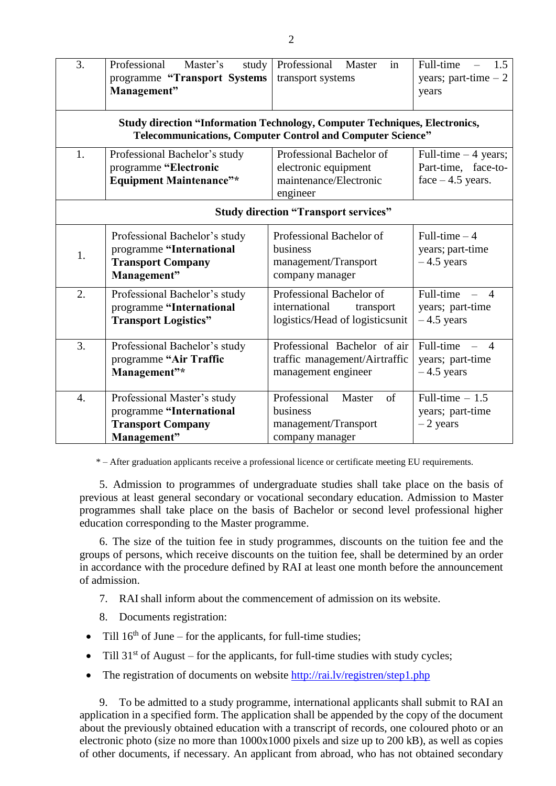| 3.                                                                                                                                                     | Professional<br>Master's<br>study<br>programme "Transport Systems<br>Management"                     | Professional Master<br>in<br>transport systems                                            | Full-time<br>1.5<br>years; part-time $-2$<br>years                      |  |  |  |
|--------------------------------------------------------------------------------------------------------------------------------------------------------|------------------------------------------------------------------------------------------------------|-------------------------------------------------------------------------------------------|-------------------------------------------------------------------------|--|--|--|
| <b>Study direction "Information Technology, Computer Techniques, Electronics,</b><br><b>Telecommunications, Computer Control and Computer Science"</b> |                                                                                                      |                                                                                           |                                                                         |  |  |  |
| 1.                                                                                                                                                     | Professional Bachelor's study<br>programme "Electronic<br><b>Equipment Maintenance"*</b>             | Professional Bachelor of<br>electronic equipment<br>maintenance/Electronic<br>engineer    | Full-time $-4$ years;<br>Part-time, face-to-<br>face $-4.5$ years.      |  |  |  |
|                                                                                                                                                        | <b>Study direction "Transport services"</b>                                                          |                                                                                           |                                                                         |  |  |  |
| 1.                                                                                                                                                     | Professional Bachelor's study<br>programme "International<br><b>Transport Company</b><br>Management" | Professional Bachelor of<br>business<br>management/Transport<br>company manager           | Full-time $-4$<br>years; part-time<br>$-4.5$ years                      |  |  |  |
| 2.                                                                                                                                                     | Professional Bachelor's study<br>programme "International<br><b>Transport Logistics"</b>             | Professional Bachelor of<br>international<br>transport<br>logistics/Head of logisticsunit | Full-time<br>$\boldsymbol{\Lambda}$<br>years; part-time<br>$-4.5$ years |  |  |  |
| 3.                                                                                                                                                     | Professional Bachelor's study<br>programme "Air Traffic<br>Management"*                              | Professional Bachelor of air<br>traffic management/Airtraffic<br>management engineer      | Full-time<br>$\overline{4}$<br>years; part-time<br>$-4.5$ years         |  |  |  |
| $\overline{4}$ .                                                                                                                                       | Professional Master's study<br>programme "International<br><b>Transport Company</b><br>Management"   | Professional<br>of<br>Master<br>business<br>management/Transport<br>company manager       | Full-time $-1.5$<br>years; part-time<br>$-2$ years                      |  |  |  |

\* – After graduation applicants receive a professional licence or certificate meeting EU requirements.

5. Admission to programmes of undergraduate studies shall take place on the basis of previous at least general secondary or vocational secondary education. Admission to Master programmes shall take place on the basis of Bachelor or second level professional higher education corresponding to the Master programme.

6. The size of the tuition fee in study programmes, discounts on the tuition fee and the groups of persons, which receive discounts on the tuition fee, shall be determined by an order in accordance with the procedure defined by RAI at least one month before the announcement of admission.

- 7. RAI shall inform about the commencement of admission on its website.
- 8. Documents registration:
- Till  $16<sup>th</sup>$  of June for the applicants, for full-time studies;
- Till  $31<sup>st</sup>$  of August for the applicants, for full-time studies with study cycles;
- The registration of documents on website<http://rai.lv/registren/step1.php>

9. To be admitted to a study programme, international applicants shall submit to RAI an application in a specified form. The application shall be appended by the copy of the document about the previously obtained education with a transcript of records, one coloured photo or an electronic photo (size no more than 1000x1000 pixels and size up to 200 kB), as well as copies of other documents, if necessary. An applicant from abroad, who has not obtained secondary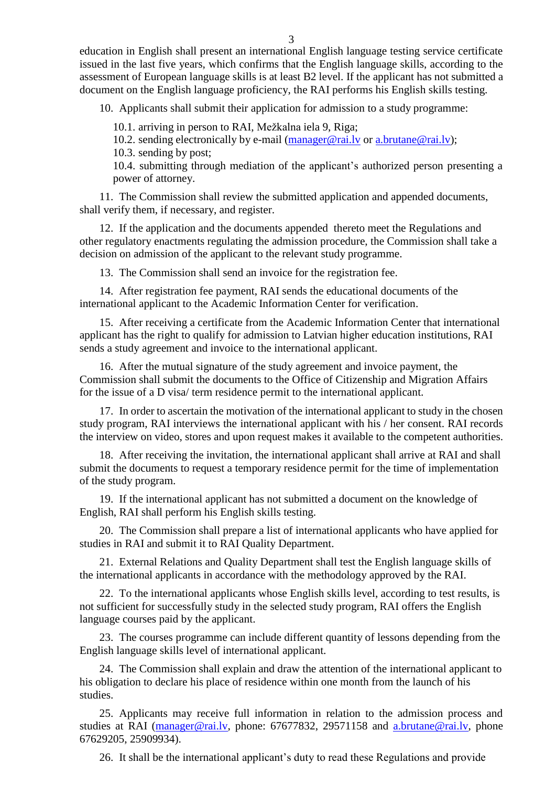education in English shall present an international English language testing service certificate issued in the last five years, which confirms that the English language skills, according to the assessment of European language skills is at least B2 level. If the applicant has not submitted a document on the English language proficiency, the RAI performs his English skills testing.

10. Applicants shall submit their application for admission to a study programme:

10.1. arriving in person to RAI, Mežkalna iela 9, Riga;

10.2. sending electronically by e-mail (manager@rai.ly or a.brutane@rai.ly);

10.3. sending by post;

10.4. submitting through mediation of the applicant's authorized person presenting a power of attorney.

11. The Commission shall review the submitted application and appended documents, shall verify them, if necessary, and register.

12. If the application and the documents appended thereto meet the Regulations and other regulatory enactments regulating the admission procedure, the Commission shall take a decision on admission of the applicant to the relevant study programme.

13. The Commission shall send an invoice for the registration fee.

14. After registration fee payment, RAI sends the educational documents of the international applicant to the Academic Information Center for verification.

15. After receiving a certificate from the Academic Information Center that international applicant has the right to qualify for admission to Latvian higher education institutions, RAI sends a study agreement and invoice to the international applicant.

16. After the mutual signature of the study agreement and invoice payment, the Commission shall submit the documents to the Office of Citizenship and Migration Affairs for the issue of a D visa/ term residence permit to the international applicant.

17. In order to ascertain the motivation of the international applicant to study in the chosen study program, RAI interviews the international applicant with his / her consent. RAI records the interview on video, stores and upon request makes it available to the competent authorities.

18. After receiving the invitation, the international applicant shall arrive at RAI and shall submit the documents to request a temporary residence permit for the time of implementation of the study program.

19. If the international applicant has not submitted a document on the knowledge of English, RAI shall perform his English skills testing.

20. The Commission shall prepare a list of international applicants who have applied for studies in RAI and submit it to RAI Quality Department.

21. External Relations and Quality Department shall test the English language skills of the international applicants in accordance with the methodology approved by the RAI.

22. To the international applicants whose English skills level, according to test results, is not sufficient for successfully study in the selected study program, RAI offers the English language courses paid by the applicant.

23. The courses programme can include different quantity of lessons depending from the English language skills level of international applicant.

24. The Commission shall explain and draw the attention of the international applicant to his obligation to declare his place of residence within one month from the launch of his studies.

25. Applicants may receive full information in relation to the admission process and studies at RAI [\(manager@rai.lv,](file:///C:/Users/Secretary/AppData/Local/Temp/Rar$DIa0.500/manager@rai.lv) phone: 67677832, 29571158 and [a.brutane@rai.lv,](mailto:a.brutane@rai.lv) phone 67629205, 25909934).

26. It shall be the international applicant's duty to read these Regulations and provide